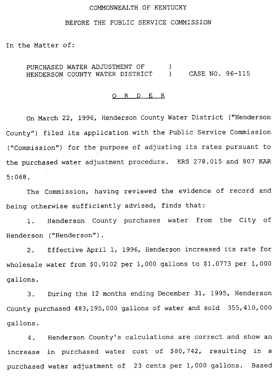### COMMONWEALTH OF KENTUCKY

# BEFORE THE PUBLIC SERVICE COMMISSION

In the Matter of:

PURCHASED WATER ADJUSTMENT OF ) HENDERSON COUNTY WATER DISTRICT ) CASE NO. 96-115

## 0 R <sup>D</sup> E R

On March 22, 1996, Henderson County Water District ("Henderson County") filed its application with the Public Service Commission ("Commission") for the purpose of adjusting its rates pursuant to the purchased water adjustment procedure. KRS 278.015 and 807 KAR 5:068.

The Commission, having reviewed the evidence of record and being otherwise sufficiently advised, finds that:

1. Henderson County purchases water from the City of Henderson ("Henderson").

2. Effective April 1, 1996, Henderson increased its rate for wholesale water from  $$0.9102$  per  $1,000$  gallons to  $$1.0773$  per  $1,000$ gallons.

3. During the 12 months ending December 31, 1995, Henderson County purchased 483, 195, 000 gallons of water and sold 355, 410, 000 gallons.

4. Henderson County's calculations are correct and show an increase in purchased water cost of \$80,742, resulting in a purchased water adjustment of 23 cents per 1,000 gallons. Based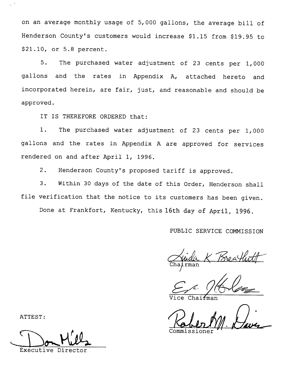on an average monthly usage of 5,000 gallons, the average bill of Henderson County's customers would increase \$1.15 from \$19.95 to \$21.10, or 5.8 percent.

5. The purchased water adjustment of <sup>23</sup> cents per 1,000 gallons and the rates in Appendix A, attached hereto and incorporated herein, are fair, just, and reasonable and should be approved.

IT IS THEREFORE ORDERED that:

1. The purchased water adjustment of <sup>23</sup> cents per 1,000 gallons and the rates in Appendix <sup>A</sup> are approved for services rendered on and after April 1, 1996.

2. Henderson County's proposed tariff is approved.

3. Within <sup>30</sup> days of the date of this Order, Henderson shall file verification that the notice to its customers has been given. Done at Frankfort, Kentucky, this 16th day of April, 1996.

# PUBLIC SERVICE COMMISSION

hairman

Vice Chairman Vice Chairman (1) Commission

Executive Director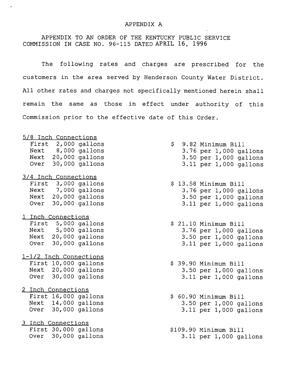### APPENDIX A

APPENDIX TO AN ORDER OF THE KENTUCKY PUBLIC SERVICE COMMISSION IN CASE NO. 96-115 DATED APRIL 16, 1996

 $\ddot{\phantom{0}}$ 

The following rates and charges are prescribed for the customers in the area served by Henderson County Water District. All other rates and charges not specifically mentioned herein shall remain the same as those in effect under authority of this Commission prior to the effective date of this Order.

| 5/8 Inch Connections   |  |  |  |                            |  |
|------------------------|--|--|--|----------------------------|--|
| First 2,000 gallons    |  |  |  | \$ 9.82 Minimum Bill       |  |
| Next 8,000 gallons     |  |  |  | 3.76 per 1,000 gallons     |  |
| Next 20,000 gallons    |  |  |  | 3.50 per 1,000 gallons     |  |
| Over 30,000 gallons    |  |  |  | 3.11 per 1,000 gallons     |  |
| 3/4 Inch Connections   |  |  |  |                            |  |
| First 3,000 gallons    |  |  |  | \$ 13.58 Minimum Bill      |  |
| Next 7,000 gallons     |  |  |  | 3.76 per 1,000 gallons     |  |
| Next 20,000 gallons    |  |  |  | 3.50 per 1,000 gallons     |  |
| Over 30,000 gallons    |  |  |  | 3.11 per 1,000 gallons     |  |
| 1 Inch Connections     |  |  |  |                            |  |
| First 5,000 gallons    |  |  |  | \$ 21.10 Minimum Bill      |  |
| Next 5,000 gallons     |  |  |  | 3.76 per 1,000 gallons     |  |
| Next 20,000 gallons    |  |  |  | 3.50 per 1,000 gallons     |  |
| Over 30,000 gallons    |  |  |  | $3.11$ per $1,000$ gallons |  |
| 1-1/2 Inch Connections |  |  |  |                            |  |
| First 10,000 gallons   |  |  |  | \$ 39.90 Minimum Bill      |  |
| Next 20,000 gallons    |  |  |  | 3.50 per 1,000 gallons     |  |
| Over 30,000 gallons    |  |  |  | 3.11 per 1,000 gallons     |  |
| 2 Inch Connections     |  |  |  |                            |  |
| First 16,000 gallons   |  |  |  | \$ 60.90 Minimum Bill      |  |
| Next 14,000 gallons    |  |  |  | $3.50$ per $1,000$ gallons |  |
| Over 30,000 gallons    |  |  |  | 3.11 per 1,000 gallons     |  |
| 3 Inch Connections     |  |  |  |                            |  |
| First 30,000 gallons   |  |  |  | \$109.90 Minimum Bill      |  |
| Over 30,000 gallons    |  |  |  | 3.11 per 1,000 gallons     |  |